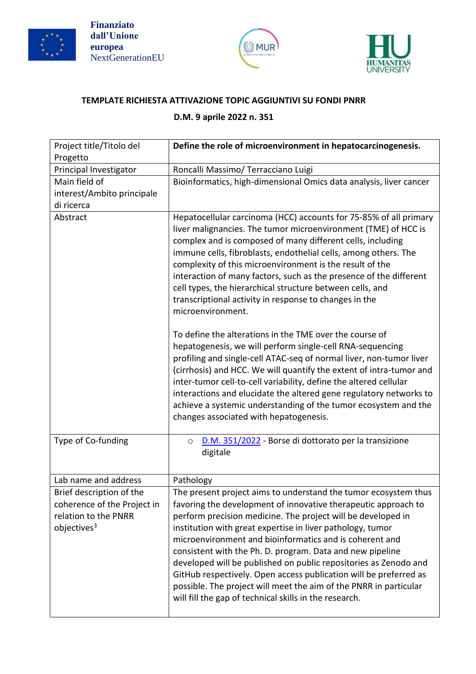





## **TEMPLATE RICHIESTA ATTIVAZIONE TOPIC AGGIUNTIVI SU FONDI PNRR**

## **D.M. 9 aprile 2022 n. 351**

| Project title/Titolo del<br>Progetto                                                                       | Define the role of microenvironment in hepatocarcinogenesis.                                                                                                                                                                                                                                                                                                                                                                                                                                                                                                                                                                                                                                                                                                                                                                                                                                                                                                                                                                                                                     |
|------------------------------------------------------------------------------------------------------------|----------------------------------------------------------------------------------------------------------------------------------------------------------------------------------------------------------------------------------------------------------------------------------------------------------------------------------------------------------------------------------------------------------------------------------------------------------------------------------------------------------------------------------------------------------------------------------------------------------------------------------------------------------------------------------------------------------------------------------------------------------------------------------------------------------------------------------------------------------------------------------------------------------------------------------------------------------------------------------------------------------------------------------------------------------------------------------|
| Principal Investigator                                                                                     | Roncalli Massimo/ Terracciano Luigi                                                                                                                                                                                                                                                                                                                                                                                                                                                                                                                                                                                                                                                                                                                                                                                                                                                                                                                                                                                                                                              |
| Main field of<br>interest/Ambito principale<br>di ricerca                                                  | Bioinformatics, high-dimensional Omics data analysis, liver cancer                                                                                                                                                                                                                                                                                                                                                                                                                                                                                                                                                                                                                                                                                                                                                                                                                                                                                                                                                                                                               |
| Abstract                                                                                                   | Hepatocellular carcinoma (HCC) accounts for 75-85% of all primary<br>liver malignancies. The tumor microenvironment (TME) of HCC is<br>complex and is composed of many different cells, including<br>immune cells, fibroblasts, endothelial cells, among others. The<br>complexity of this microenvironment is the result of the<br>interaction of many factors, such as the presence of the different<br>cell types, the hierarchical structure between cells, and<br>transcriptional activity in response to changes in the<br>microenvironment.<br>To define the alterations in the TME over the course of<br>hepatogenesis, we will perform single-cell RNA-sequencing<br>profiling and single-cell ATAC-seq of normal liver, non-tumor liver<br>(cirrhosis) and HCC. We will quantify the extent of intra-tumor and<br>inter-tumor cell-to-cell variability, define the altered cellular<br>interactions and elucidate the altered gene regulatory networks to<br>achieve a systemic understanding of the tumor ecosystem and the<br>changes associated with hepatogenesis. |
| Type of Co-funding                                                                                         | D.M. 351/2022 - Borse di dottorato per la transizione<br>$\circ$<br>digitale                                                                                                                                                                                                                                                                                                                                                                                                                                                                                                                                                                                                                                                                                                                                                                                                                                                                                                                                                                                                     |
| Lab name and address                                                                                       | Pathology                                                                                                                                                                                                                                                                                                                                                                                                                                                                                                                                                                                                                                                                                                                                                                                                                                                                                                                                                                                                                                                                        |
| Brief description of the<br>coherence of the Project in<br>relation to the PNRR<br>objectives <sup>3</sup> | The present project aims to understand the tumor ecosystem thus<br>favoring the development of innovative therapeutic approach to<br>perform precision medicine. The project will be developed in<br>institution with great expertise in liver pathology, tumor<br>microenvironment and bioinformatics and is coherent and<br>consistent with the Ph. D. program. Data and new pipeline<br>developed will be published on public repositories as Zenodo and<br>GitHub respectively. Open access publication will be preferred as<br>possible. The project will meet the aim of the PNRR in particular<br>will fill the gap of technical skills in the research.                                                                                                                                                                                                                                                                                                                                                                                                                  |